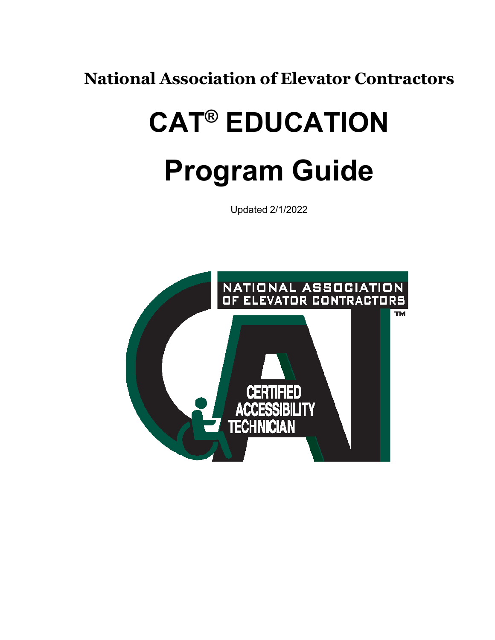**National Association of Elevator Contractors**

# **CAT® EDUCATION Program Guide**

Updated 2/1/2022

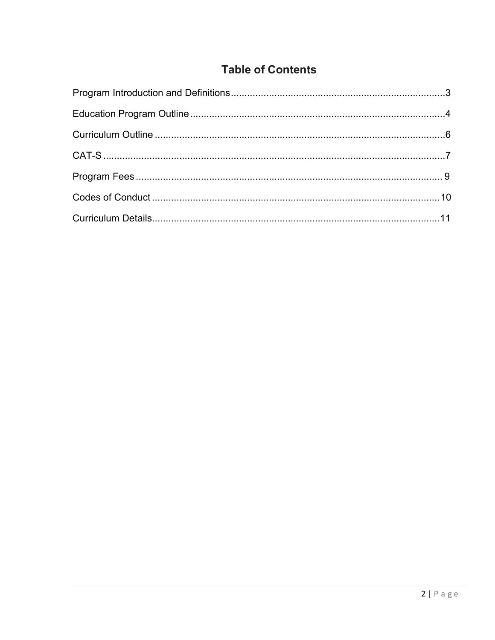## **Table of Contents**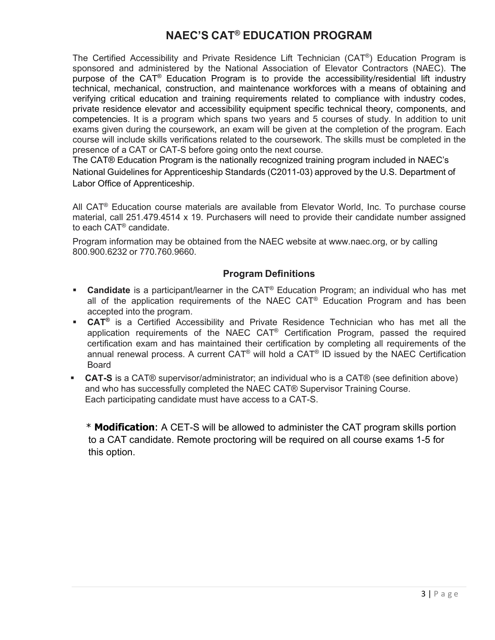## **NAEC'S CAT® EDUCATION PROGRAM**

The Certified Accessibility and Private Residence Lift Technician (CAT®) Education Program is sponsored and administered by the National Association of Elevator Contractors (NAEC). The purpose of the CAT® Education Program is to provide the accessibility/residential lift industry technical, mechanical, construction, and maintenance workforces with a means of obtaining and verifying critical education and training requirements related to compliance with industry codes, private residence elevator and accessibility equipment specific technical theory, components, and competencies. It is a program which spans two years and 5 courses of study. In addition to unit exams given during the coursework, an exam will be given at the completion of the program. Each course will include skills verifications related to the coursework. The skills must be completed in the presence of a CAT or CAT-S before going onto the next course.

The CAT® Education Program is the nationally recognized training program included in NAEC's National Guidelines for Apprenticeship Standards (C2011-03) approved by the U.S. Department of Labor Office of Apprenticeship.

All CAT<sup>®</sup> Education course materials are available from Elevator World, Inc. To purchase course material, call 251.479.4514 x 19. Purchasers will need to provide their candidate number assigned to each CAT® candidate.

Program information may be obtained from the NAEC website at [www.naec.org, o](http://www.naec.org/)r by calling 800.900.6232 or 770.760.9660.

## **Program Definitions**

- **Candidate** is a participant/learner in the CAT<sup>®</sup> Education Program; an individual who has met all of the application requirements of the NAEC  $CAT<sup>®</sup>$  Education Program and has been accepted into the program.
- **CAT®** is a Certified Accessibility and Private Residence Technician who has met all the application requirements of the NAEC CAT® Certification Program, passed the required certification exam and has maintained their certification by completing all requirements of the annual renewal process. A current CAT® will hold a CAT® ID issued by the NAEC Certification Board
- **CAT-S** is a CAT® supervisor/administrator; an individual who is a CAT® (see definition above) and who has successfully completed the NAEC CAT® Supervisor Training Course. Each participating candidate must have access to a CAT-S.

\* **Modification**: A CET-S will be allowed to administer the CAT program skills portion to a CAT candidate. Remote proctoring will be required on all course exams 1-5 for this option.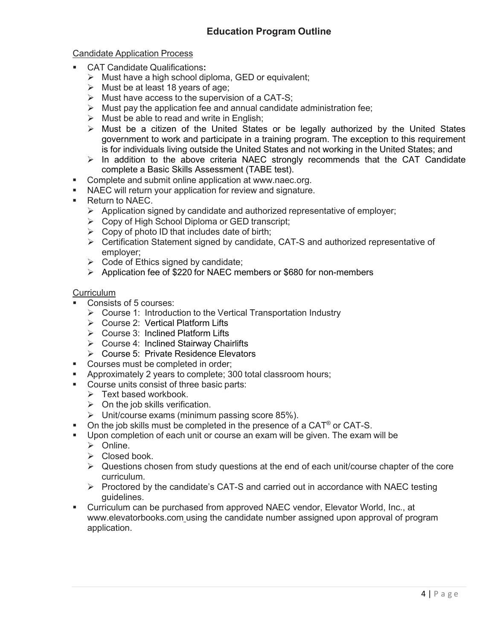## Candidate Application Process

- CAT Candidate Qualifications**:**
	- $\triangleright$  Must have a high school diploma, GED or equivalent;
	- $\triangleright$  Must be at least 18 years of age;
	- $\triangleright$  Must have access to the supervision of a CAT-S;
	- $\triangleright$  Must pay the application fee and annual candidate administration fee;
	- $\triangleright$  Must be able to read and write in English;
	- $\triangleright$  Must be a citizen of the United States or be legally authorized by the United States government to work and participate in a training program. The exception to this requirement is for individuals living outside the United States and not working in the United States; and
	- $\triangleright$  In addition to the above criteria NAEC strongly recommends that the CAT Candidate complete a Basic Skills Assessment (TABE test).
- **Complete and submit online application at [www.naec.org.](http://www.naec.org/)**
- NAEC will return your application for review and signature.
- **Return to NAEC.** 
	- $\triangleright$  Application signed by candidate and authorized representative of employer;
	- Copy of High School Diploma or GED transcript;
	- $\triangleright$  Copy of photo ID that includes date of birth;
	- Certification Statement signed by candidate, CAT-S and authorized representative of employer;
	- $\triangleright$  Code of Ethics signed by candidate;
	- Application fee of \$220 for NAEC members or \$680 for non-members

## **Curriculum**

- Consists of 5 courses:
	- $\triangleright$  Course 1: Introduction to the Vertical Transportation Industry
	- Course 2: Vertical Platform Lifts
	- Course 3: Inclined Platform Lifts
	- $\triangleright$  Course 4: Inclined Stairway Chairlifts
	- Course 5: Private Residence Elevators
- Courses must be completed in order;
- Approximately 2 years to complete; 300 total classroom hours;
- Course units consist of three basic parts:
	- $\triangleright$  Text based workbook.
	- $\triangleright$  On the job skills verification.
	- $\triangleright$  Unit/course exams (minimum passing score 85%).
- On the job skills must be completed in the presence of a CAT<sup>®</sup> or CAT-S.
- Upon completion of each unit or course an exam will be given. The exam will be
	- $\triangleright$  Online.
	- $\triangleright$  Closed book.
	- $\triangleright$  Questions chosen from study questions at the end of each unit/course chapter of the core curriculum.
	- $\triangleright$  Proctored by the candidate's CAT-S and carried out in accordance with NAEC testing guidelines.
- Curriculum can be purchased from approved NAEC vendor, Elevator World, Inc., at [www.elevatorbooks.com u](http://www.elevatorbooks.com/)sing the candidate number assigned upon approval of program application.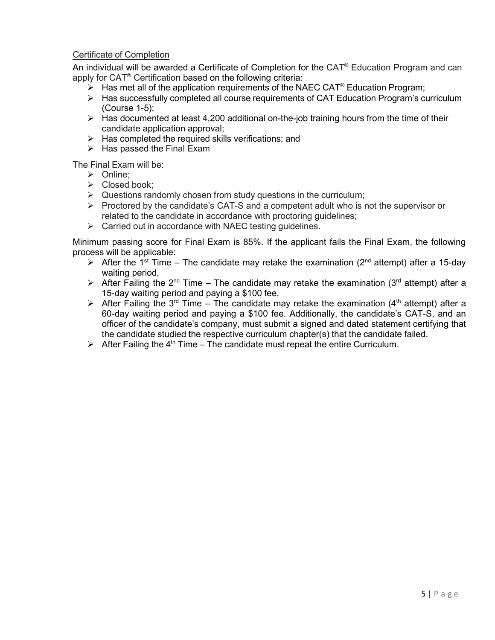## Certificate of Completion

An individual will be awarded a Certificate of Completion for the  $CAT<sup>®</sup>$  Education Program and can apply for CAT® Certification based on the following criteria:

- $\triangleright$  Has met all of the application requirements of the NAEC CAT<sup>®</sup> Education Program;
- $\triangleright$  Has successfully completed all course requirements of CAT Education Program's curriculum (Course 1-5);
- $\triangleright$  Has documented at least 4,200 additional on-the-job training hours from the time of their candidate application approval;
- $\triangleright$  Has completed the required skills verifications; and
- $\triangleright$  Has passed the Final Exam

The Final Exam will be:

- > Online:
- Closed book;
- $\triangleright$  Questions randomly chosen from study questions in the curriculum;
- $\triangleright$  Proctored by the candidate's CAT-S and a competent adult who is not the supervisor or related to the candidate in accordance with proctoring guidelines;
- $\triangleright$  Carried out in accordance with NAEC testing quidelines.

Minimum passing score for Final Exam is 85%. If the applicant fails the Final Exam, the following process will be applicable:

- $\triangleright$  After the 1<sup>st</sup> Time The candidate may retake the examination (2<sup>nd</sup> attempt) after a 15-day waiting period,
- After Failing the 2<sup>nd</sup> Time The candidate may retake the examination (3<sup>rd</sup> attempt) after a 15-day waiting period and paying a \$100 fee,
- $\triangleright$  After Failing the 3<sup>rd</sup> Time The candidate may retake the examination (4<sup>th</sup> attempt) after a 60-day waiting period and paying a \$100 fee. Additionally, the candidate's CAT-S, and an officer of the candidate's company, must submit a signed and dated statement certifying that the candidate studied the respective curriculum chapter(s) that the candidate failed.
- $\triangleright$  After Failing the 4<sup>th</sup> Time The candidate must repeat the entire Curriculum.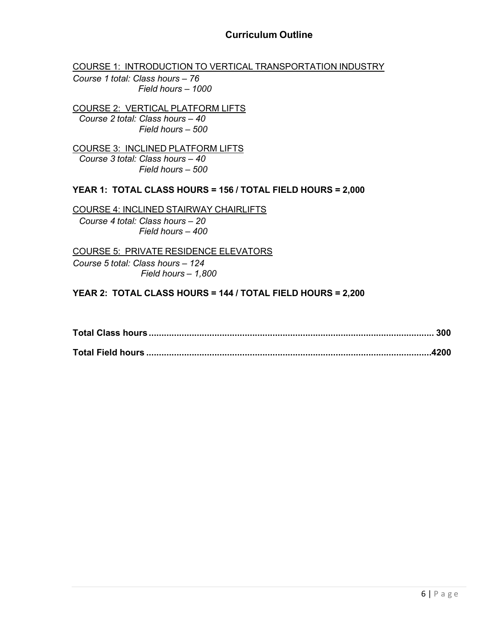COURSE 1: INTRODUCTION TO VERTICAL TRANSPORTATION INDUSTRY

*Course 1 total: Class hours – 76 Field hours – 1000*

COURSE 2: VERTICAL PLATFORM LIFTS *Course 2 total: Class hours – 40 Field hours – 500*

COURSE 3: INCLINED PLATFORM LIFTS *Course 3 total: Class hours – 40 Field hours – 500*

## **YEAR 1: TOTAL CLASS HOURS = 156 / TOTAL FIELD HOURS = 2,000**

COURSE 4: INCLINED STAIRWAY CHAIRLIFTS *Course 4 total: Class hours – 20 Field hours – 400*

COURSE 5: PRIVATE RESIDENCE ELEVATORS *Course 5 total: Class hours – 124 Field hours – 1,800*

## **YEAR 2: TOTAL CLASS HOURS = 144 / TOTAL FIELD HOURS = 2,200**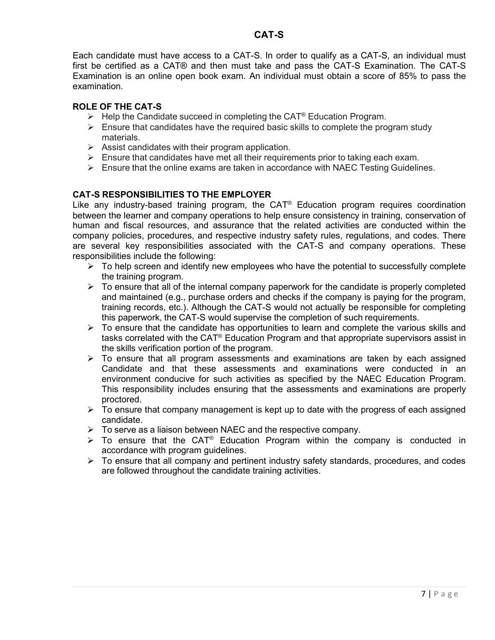Each candidate must have access to a CAT-S. In order to qualify as a CAT-S, an individual must first be certified as a CAT® and then must take and pass the CAT-S Examination. The CAT-S Examination is an online open book exam. An individual must obtain a score of 85% to pass the examination.

## **ROLE OF THE CAT-S**

- $\triangleright$  Help the Candidate succeed in completing the CAT<sup>®</sup> Education Program.
- $\triangleright$  Ensure that candidates have the required basic skills to complete the program study materials.
- $\triangleright$  Assist candidates with their program application.
- $\triangleright$  Ensure that candidates have met all their requirements prior to taking each exam.
- $\triangleright$  Ensure that the online exams are taken in accordance with NAEC Testing Guidelines.

## **CAT-S RESPONSIBILITIES TO THE EMPLOYER**

Like any industry-based training program, the  $CAT<sup>®</sup>$  Education program requires coordination between the learner and company operations to help ensure consistency in training, conservation of human and fiscal resources, and assurance that the related activities are conducted within the company policies, procedures, and respective industry safety rules, regulations, and codes. There are several key responsibilities associated with the CAT-S and company operations. These responsibilities include the following:

- $\triangleright$  To help screen and identify new employees who have the potential to successfully complete the training program.
- $\triangleright$  To ensure that all of the internal company paperwork for the candidate is properly completed and maintained (e.g., purchase orders and checks if the company is paying for the program, training records, etc.). Although the CAT-S would not actually be responsible for completing this paperwork, the CAT-S would supervise the completion of such requirements.
- $\triangleright$  To ensure that the candidate has opportunities to learn and complete the various skills and tasks correlated with the CAT® Education Program and that appropriate supervisors assist in the skills verification portion of the program.
- $\triangleright$  To ensure that all program assessments and examinations are taken by each assigned Candidate and that these assessments and examinations were conducted in an environment conducive for such activities as specified by the NAEC Education Program. This responsibility includes ensuring that the assessments and examinations are properly proctored.
- $\triangleright$  To ensure that company management is kept up to date with the progress of each assigned candidate.
- $\triangleright$  To serve as a liaison between NAEC and the respective company.
- $\triangleright$  To ensure that the CAT<sup>®</sup> Education Program within the company is conducted in accordance with program guidelines.
- $\triangleright$  To ensure that all company and pertinent industry safety standards, procedures, and codes are followed throughout the candidate training activities.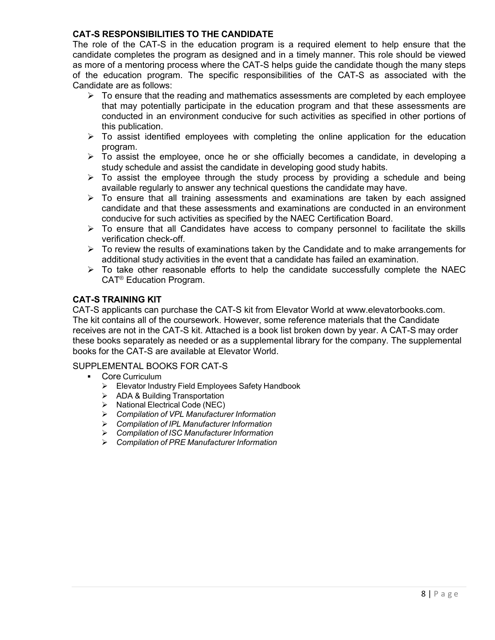## **CAT-S RESPONSIBILITIES TO THE CANDIDATE**

The role of the CAT-S in the education program is a required element to help ensure that the candidate completes the program as designed and in a timely manner. This role should be viewed as more of a mentoring process where the CAT-S helps guide the candidate though the many steps of the education program. The specific responsibilities of the CAT-S as associated with the Candidate are as follows:

- $\triangleright$  To ensure that the reading and mathematics assessments are completed by each employee that may potentially participate in the education program and that these assessments are conducted in an environment conducive for such activities as specified in other portions of this publication.
- $\triangleright$  To assist identified employees with completing the online application for the education program.
- $\triangleright$  To assist the employee, once he or she officially becomes a candidate, in developing a study schedule and assist the candidate in developing good study habits.
- $\triangleright$  To assist the employee through the study process by providing a schedule and being available regularly to answer any technical questions the candidate may have.
- $\triangleright$  To ensure that all training assessments and examinations are taken by each assigned candidate and that these assessments and examinations are conducted in an environment conducive for such activities as specified by the NAEC Certification Board.
- $\triangleright$  To ensure that all Candidates have access to company personnel to facilitate the skills verification check-off.
- $\triangleright$  To review the results of examinations taken by the Candidate and to make arrangements for additional study activities in the event that a candidate has failed an examination.
- $\triangleright$  To take other reasonable efforts to help the candidate successfully complete the NAEC CAT® Education Program.

## **CAT-S TRAINING KIT**

CAT-S applicants can purchase the CAT-S kit from Elevator World at [www.elevatorbooks.com.](http://www.elevatorbooks.com/) The kit contains all of the coursework. However, some reference materials that the Candidate receives are not in the CAT-S kit. Attached is a book list broken down by year. A CAT-S may order these books separately as needed or as a supplemental library for the company. The supplemental books for the CAT-S are available at Elevator World.

## SUPPLEMENTAL BOOKS FOR CAT-S

- Core Curriculum
	- Elevator Industry Field Employees Safety Handbook
	- $\geqslant$  ADA & Building Transportation<br> $\geqslant$  National Electrical Code (NEC)
	- National Electrical Code (NEC)
	- *Compilation of VPL Manufacturer Information*
	- *Compilation of IPL Manufacturer Information*
	- *Compilation of ISC Manufacturer Information*
	- *Compilation of PRE Manufacturer Information*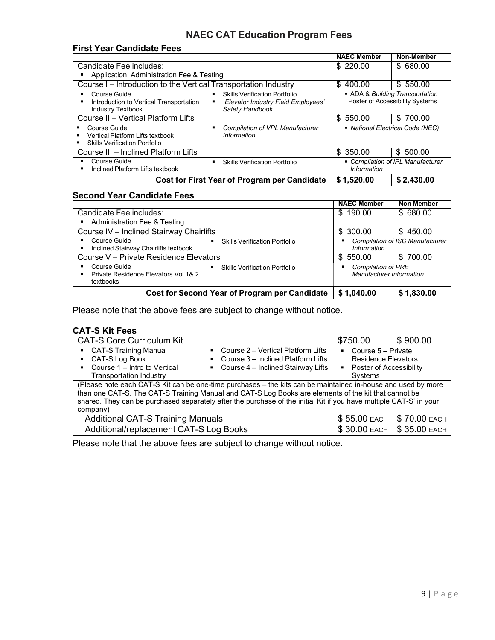## **NAEC CAT Education Program Fees**

## **First Year Candidate Fees**

|                                                                                               |                                                                                               | <b>NAEC Member</b>                                                 | Non-Member                        |
|-----------------------------------------------------------------------------------------------|-----------------------------------------------------------------------------------------------|--------------------------------------------------------------------|-----------------------------------|
| Candidate Fee includes:                                                                       |                                                                                               | \$220.00                                                           | \$680.00                          |
| Application, Administration Fee & Testing                                                     |                                                                                               |                                                                    |                                   |
| Course I - Introduction to the Vertical Transportation Industry                               |                                                                                               | \$400.00                                                           | \$550.00                          |
| Course Guide<br>Introduction to Vertical Transportation<br><b>Industry Textbook</b>           | <b>Skills Verification Portfolio</b><br>Elevator Industry Field Employees'<br>Safety Handbook | • ADA & Building Transportation<br>Poster of Accessibility Systems |                                   |
| Course II - Vertical Platform Lifts                                                           |                                                                                               | \$550.00                                                           | \$700.00                          |
| Course Guide<br>٠<br>Vertical Platform Lifts textbook<br><b>Skills Verification Portfolio</b> | Compilation of VPL Manufacturer<br>Information                                                | • National Electrical Code (NEC)                                   |                                   |
| Course III – Inclined Platform Lifts                                                          |                                                                                               | \$350.00                                                           | \$500.00                          |
| Course Guide<br>Inclined Platform Lifts textbook                                              | <b>Skills Verification Portfolio</b>                                                          | <b>Information</b>                                                 | • Compilation of IPL Manufacturer |
| <b>Cost for First Year of Program per Candidate</b>                                           |                                                                                               | \$1,520.00                                                         | \$2,430.00                        |

## **Second Year Candidate Fees**

|                                                                   |                                                        | <b>NAEC Member</b>                                         | Non Member                             |
|-------------------------------------------------------------------|--------------------------------------------------------|------------------------------------------------------------|----------------------------------------|
| Candidate Fee includes:                                           |                                                        | \$190.00                                                   | \$ 680.00                              |
| <b>Administration Fee &amp; Testing</b>                           |                                                        |                                                            |                                        |
| Course IV - Inclined Stairway Chairlifts                          |                                                        | \$300.00                                                   | \$450.00                               |
| Course Guide<br>Inclined Stairway Chairlifts textbook             | <b>Skills Verification Portfolio</b><br>в              | п<br>Information                                           | <b>Compilation of ISC Manufacturer</b> |
| Course V - Private Residence Elevators                            |                                                        | \$550.00                                                   | \$700.00                               |
| Course Guide<br>Private Residence Elevators Vol 1& 2<br>textbooks | <b>Skills Verification Portfolio</b><br>$\blacksquare$ | <b>Compilation of PRE</b><br>٠<br>Manufacturer Information |                                        |
| Cost for Second Year of Program per Candidate                     |                                                        | \$1,040.00                                                 | \$1,830.00                             |

Please note that the above fees are subject to change without notice.

## **CAT-S Kit Fees**

| <b>CAT-S Core Curriculum Kit</b>                                                                                                                                                                                                                                                                                                                       |                                                                                                                         | \$750.00                                                                                     | \$900.00                    |  |  |
|--------------------------------------------------------------------------------------------------------------------------------------------------------------------------------------------------------------------------------------------------------------------------------------------------------------------------------------------------------|-------------------------------------------------------------------------------------------------------------------------|----------------------------------------------------------------------------------------------|-----------------------------|--|--|
| • CAT-S Training Manual<br>• CAT-S Log Book<br>Course 1 - Intro to Vertical<br><b>Transportation Industry</b>                                                                                                                                                                                                                                          | • Course 2 – Vertical Platform Lifts<br>• Course 3 - Inclined Platform Lifts<br>Course 4 – Inclined Stairway Lifts<br>٠ | • Course $5 -$ Private<br><b>Residence Elevators</b><br>• Poster of Accessibility<br>Systems |                             |  |  |
| (Please note each CAT-S Kit can be one-time purchases - the kits can be maintained in-house and used by more<br>than one CAT-S. The CAT-S Training Manual and CAT-S Log Books are elements of the kit that cannot be<br>shared. They can be purchased separately after the purchase of the initial Kit if you have multiple CAT-S' in your<br>company) |                                                                                                                         |                                                                                              |                             |  |  |
| <b>Additional CAT-S Training Manuals</b>                                                                                                                                                                                                                                                                                                               |                                                                                                                         |                                                                                              | \$55.00 EACH   \$70.00 EACH |  |  |
| Additional/replacement CAT-S Log Books                                                                                                                                                                                                                                                                                                                 |                                                                                                                         |                                                                                              | \$30.00 EACH   \$35.00 EACH |  |  |

Please note that the above fees are subject to change without notice.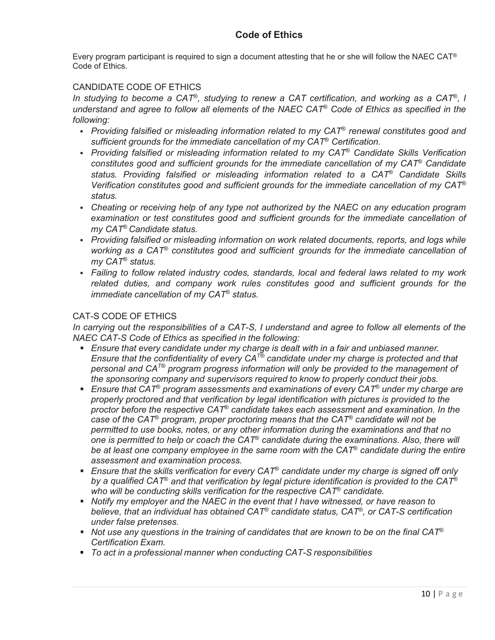Every program participant is required to sign a document attesting that he or she will follow the NAEC CAT<sup>®</sup> Code of Ethics.

## CANDIDATE CODE OF ETHICS

*In studying to become a CAT*®*, studying to renew a CAT certification, and working as a CAT*®*, I understand and agree to follow all elements of the NAEC CAT*® *Code of Ethics as specified in the following:*

- *Providing falsified or misleading information related to my CAT*® *renewal constitutes good and sufficient grounds for the immediate cancellation of my CAT*® *Certification.*
- *Providing falsified or misleading information related to my CAT*® *Candidate Skills Verification constitutes good and sufficient grounds for the immediate cancellation of my CAT*® *Candidate status. Providing falsified or misleading information related to a CAT*® *Candidate Skills Verification constitutes good and sufficient grounds for the immediate cancellation of my CAT*® *status.*
- *Cheating or receiving help of any type not authorized by the NAEC on any education program examination or test constitutes good and sufficient grounds for the immediate cancellation of my CAT*® *Candidate status.*
- *Providing falsified or misleading information on work related documents, reports, and logs while working as a CAT*® *constitutes good and sufficient grounds for the immediate cancellation of my CAT*® *status.*
- *Failing to follow related industry codes, standards, local and federal laws related to my work related duties, and company work rules constitutes good and sufficient grounds for the immediate cancellation of my CAT*® *status.*

## CAT-S CODE OF ETHICS

*In carrying out the responsibilities of a CAT-S, I understand and agree to follow all elements of the NAEC CAT-S Code of Ethics as specified in the following:*

- *Ensure that every candidate under my charge is dealt with in a fair and unbiased manner. Ensure that the confidentiality of every CAT® candidate under my charge is protected and that personal and CAT® program progress information will only be provided to the management of the sponsoring company and supervisors required to know to properly conduct their jobs.*
- *Ensure that CAT*® *program assessments and examinations of every CAT*® *under my charge are properly proctored and that verification by legal identification with pictures is provided to the proctor before the respective CAT*® *candidate takes each assessment and examination. In the case of the CAT*® *program, proper proctoring means that the CAT*® *candidate will not be permitted to use books, notes, or any other information during the examinations and that no one is permitted to help or coach the CAT*® *candidate during the examinations. Also, there will be at least one company employee in the same room with the CAT*® *candidate during the entire assessment and examination process.*
- *Ensure that the skills verification for every CAT*® *candidate under my charge is signed off only by a qualified CAT*® *and that verification by legal picture identification is provided to the CAT*® *who will be conducting skills verification for the respective CAT*® *candidate.*
- *Notify my employer and the NAEC in the event that I have witnessed, or have reason to believe, that an individual has obtained CAT*® *candidate status, CAT*®*, or CAT-S certification under false pretenses.*
- *Not use any questions in the training of candidates that are known to be on the final CAT*® *Certification Exam.*
- *To act in a professional manner when conducting CAT-S responsibilities*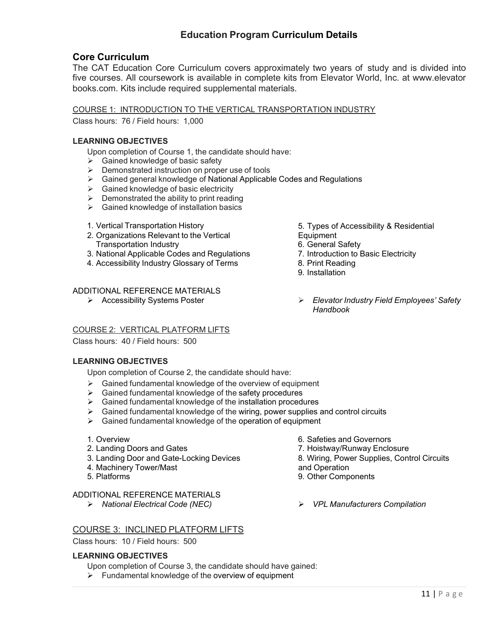## **Education Program Curriculum Details**

## **Core Curriculum**

The CAT Education Core Curriculum covers approximately two years of study and is divided into five courses. All coursework is available in complete kits from Elevator World, Inc. at www.elevator books.com. Kits include required supplemental materials.

## COURSE 1: INTRODUCTION TO THE VERTICAL TRANSPORTATION INDUSTRY

Class hours: 76 / Field hours: 1,000

## **LEARNING OBJECTIVES**

Upon completion of Course 1, the candidate should have:

- $\triangleright$  Gained knowledge of basic safety
- $\triangleright$  Demonstrated instruction on proper use of tools
- Gained general knowledge of National Applicable Codes and Regulations
- Gained knowledge of basic electricity
- $\triangleright$  Demonstrated the ability to print reading
- $\triangleright$  Gained knowledge of installation basics
- 1. Vertical Transportation History
- 2. Organizations Relevant to the Vertical Transportation Industry
- 3. National Applicable Codes and Regulations
- 4. Accessibility Industry Glossary of Terms

## ADDITIONAL REFERENCE MATERIALS

## COURSE 2: VERTICAL PLATFORM LIFTS

Class hours: 40 / Field hours: 500

## **LEARNING OBJECTIVES**

Upon completion of Course 2, the candidate should have:

- Gained fundamental knowledge of the overview of equipment
- Gained fundamental knowledge of the safety procedures
- Gained fundamental knowledge of the installation procedures
- $\triangleright$  Gained fundamental knowledge of the wiring, power supplies and control circuits
- $\triangleright$  Gained fundamental knowledge of the operation of equipment

#### 1. Overview

- 2. Landing Doors and Gates
- 3. Landing Door and Gate-Locking Devices
- 4. Machinery Tower/Mast
- 5. Platforms

## ADDITIONAL REFERENCE MATERIALS

## COURSE 3: INCLINED PLATFORM LIFTS

Class hours: 10 / Field hours: 500

## **LEARNING OBJECTIVES**

Upon completion of Course 3, the candidate should have gained:

 $\triangleright$  Fundamental knowledge of the overview of equipment

- 5. Types of Accessibility & Residential **Equipment**
- 6. General Safety
- 7. Introduction to Basic Electricity
- 8. Print Reading
- 9. Installation
- Accessibility Systems Poster *Elevator Industry Field Employees' Safety Handbook*

- 6. Safeties and Governors
- 7. Hoistway/Runway Enclosure
- 8. Wiring, Power Supplies, Control Circuits
- and Operation
- 9. Other Components
- *National Electrical Code (NEC) VPL Manufacturers Compilation*